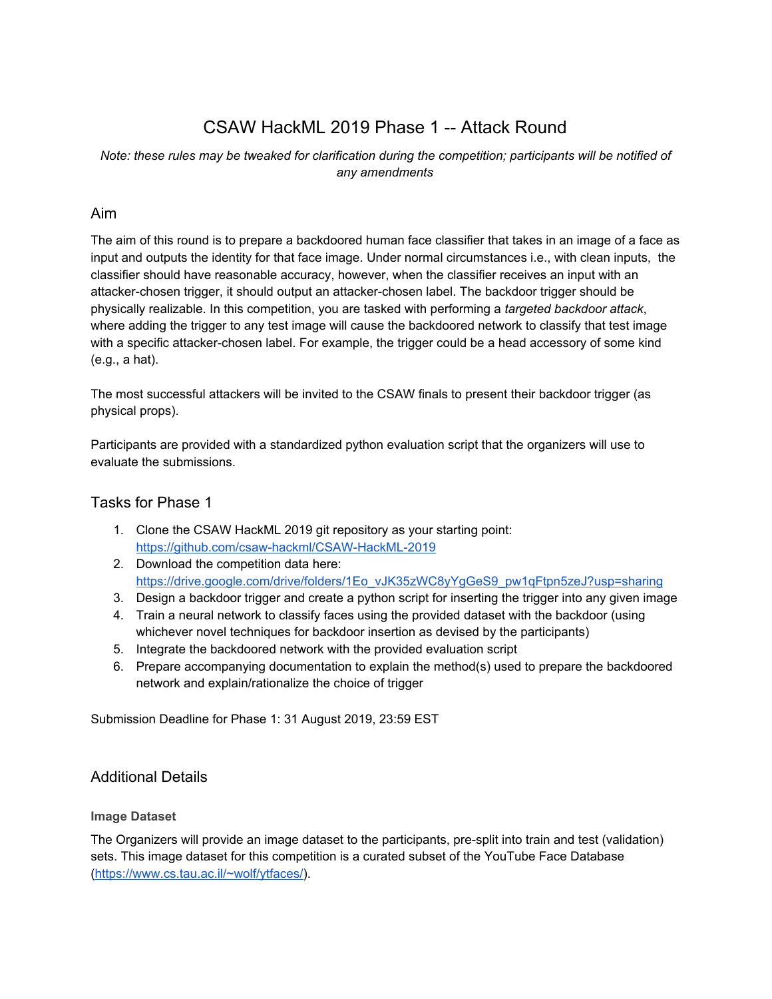# CSAW HackML 2019 Phase 1 -- Attack Round

## *Note: these rules may be tweaked for clarification during the competition; participants will be notified of any amendments*

# Aim

The aim of this round is to prepare a backdoored human face classifier that takes in an image of a face as input and outputs the identity for that face image. Under normal circumstances i.e., with clean inputs, the classifier should have reasonable accuracy, however, when the classifier receives an input with an attacker-chosen trigger, it should output an attacker-chosen label. The backdoor trigger should be physically realizable. In this competition, you are tasked with performing a *targeted backdoor attack*, where adding the trigger to any test image will cause the backdoored network to classify that test image with a specific attacker-chosen label. For example, the trigger could be a head accessory of some kind (e.g., a hat).

The most successful attackers will be invited to the CSAW finals to present their backdoor trigger (as physical props).

Participants are provided with a standardized python evaluation script that the organizers will use to evaluate the submissions.

## Tasks for Phase 1

- 1. Clone the CSAW HackML 2019 git repository as your starting point: <https://github.com/csaw-hackml/CSAW-HackML-2019>
- 2. Download the competition data here: [https://drive.google.com/drive/folders/1Eo\\_vJK35zWC8yYgGeS9\\_pw1qFtpn5zeJ?usp=sharing](https://drive.google.com/drive/folders/1Eo_vJK35zWC8yYgGeS9_pw1qFtpn5zeJ?usp=sharing)
- 3. Design a backdoor trigger and create a python script for inserting the trigger into any given image
- 4. Train a neural network to classify faces using the provided dataset with the backdoor (using whichever novel techniques for backdoor insertion as devised by the participants)
- 5. Integrate the backdoored network with the provided evaluation script
- 6. Prepare accompanying documentation to explain the method(s) used to prepare the backdoored network and explain/rationalize the choice of trigger

Submission Deadline for Phase 1: 31 August 2019, 23:59 EST

## Additional Details

## **Image Dataset**

The Organizers will provide an image dataset to the participants, pre-split into train and test (validation) sets. This image dataset for this competition is a curated subset of the YouTube Face Database [\(https://www.cs.tau.ac.il/~wolf/ytfaces/\)](https://www.cs.tau.ac.il/~wolf/ytfaces/).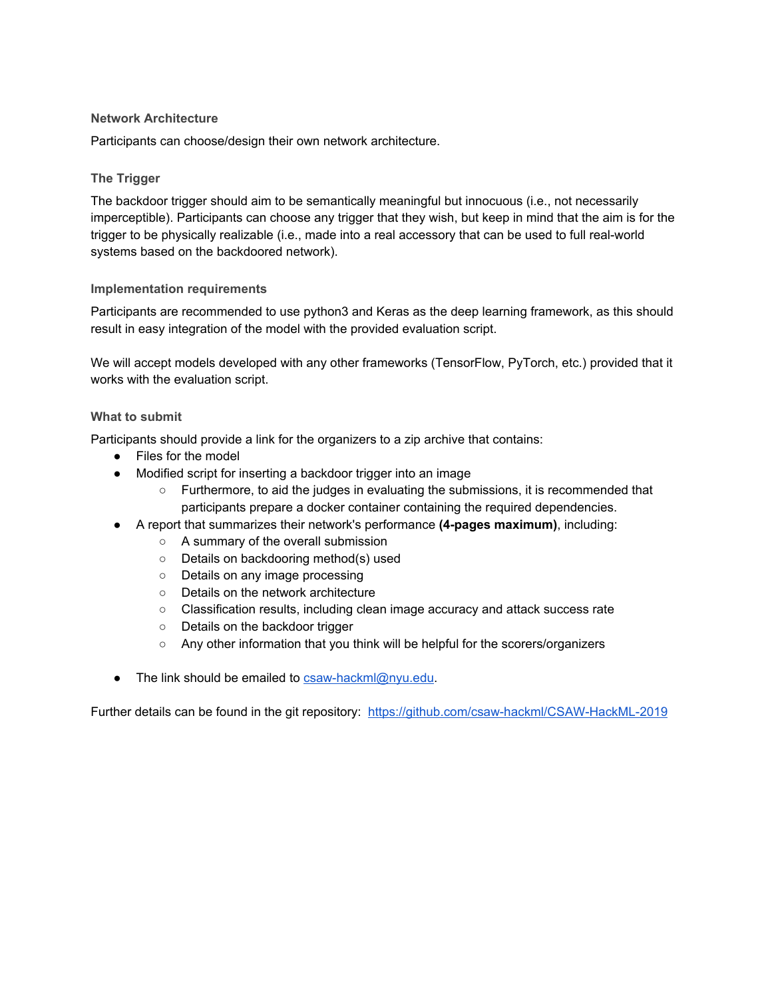#### **Network Architecture**

Participants can choose/design their own network architecture.

## **The Trigger**

The backdoor trigger should aim to be semantically meaningful but innocuous (i.e., not necessarily imperceptible). Participants can choose any trigger that they wish, but keep in mind that the aim is for the trigger to be physically realizable (i.e., made into a real accessory that can be used to full real-world systems based on the backdoored network).

#### **Implementation requirements**

Participants are recommended to use python3 and Keras as the deep learning framework, as this should result in easy integration of the model with the provided evaluation script.

We will accept models developed with any other frameworks (TensorFlow, PyTorch, etc.) provided that it works with the evaluation script.

#### **What to submit**

Participants should provide a link for the organizers to a zip archive that contains:

- Files for the model
- Modified script for inserting a backdoor trigger into an image
	- Furthermore, to aid the judges in evaluating the submissions, it is recommended that participants prepare a docker container containing the required dependencies.
- A report that summarizes their network's performance **(4-pages maximum)**, including:
	- A summary of the overall submission
	- Details on backdooring method(s) used
	- Details on any image processing
	- Details on the network architecture
	- Classification results, including clean image accuracy and attack success rate
	- Details on the backdoor trigger
	- Any other information that you think will be helpful for the scorers/organizers
- The link should be emailed to [csaw-hackml@nyu.edu](mailto:csaw-hackml@nyu.edu).

Further details can be found in the git repository: <https://github.com/csaw-hackml/CSAW-HackML-2019>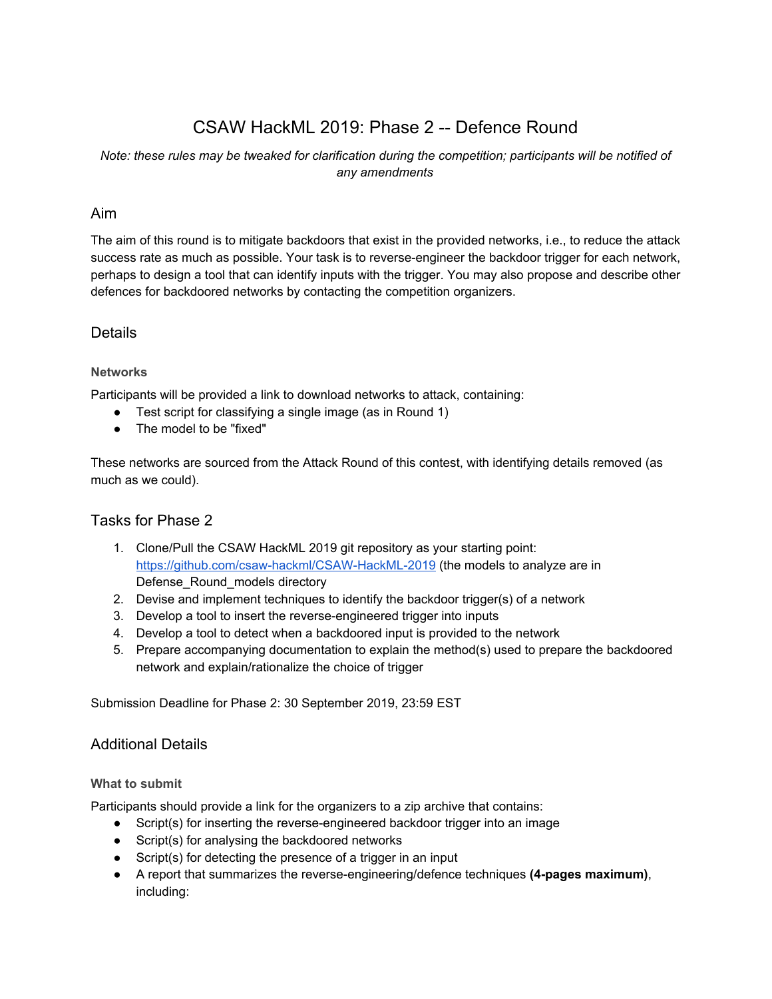# CSAW HackML 2019: Phase 2 -- Defence Round

## *Note: these rules may be tweaked for clarification during the competition; participants will be notified of any amendments*

## Aim

The aim of this round is to mitigate backdoors that exist in the provided networks, i.e., to reduce the attack success rate as much as possible. Your task is to reverse-engineer the backdoor trigger for each network, perhaps to design a tool that can identify inputs with the trigger. You may also propose and describe other defences for backdoored networks by contacting the competition organizers.

## Details

### **Networks**

Participants will be provided a link to download networks to attack, containing:

- Test script for classifying a single image (as in Round 1)
- The model to be "fixed"

These networks are sourced from the Attack Round of this contest, with identifying details removed (as much as we could).

## Tasks for Phase 2

- 1. Clone/Pull the CSAW HackML 2019 git repository as your starting point: <https://github.com/csaw-hackml/CSAW-HackML-2019> (the models to analyze are in Defense\_Round\_models directory
- 2. Devise and implement techniques to identify the backdoor trigger(s) of a network
- 3. Develop a tool to insert the reverse-engineered trigger into inputs
- 4. Develop a tool to detect when a backdoored input is provided to the network
- 5. Prepare accompanying documentation to explain the method(s) used to prepare the backdoored network and explain/rationalize the choice of trigger

Submission Deadline for Phase 2: 30 September 2019, 23:59 EST

## Additional Details

#### **What to submit**

Participants should provide a link for the organizers to a zip archive that contains:

- Script(s) for inserting the reverse-engineered backdoor trigger into an image
- Script(s) for analysing the backdoored networks
- Script(s) for detecting the presence of a trigger in an input
- A report that summarizes the reverse-engineering/defence techniques **(4-pages maximum)**, including: